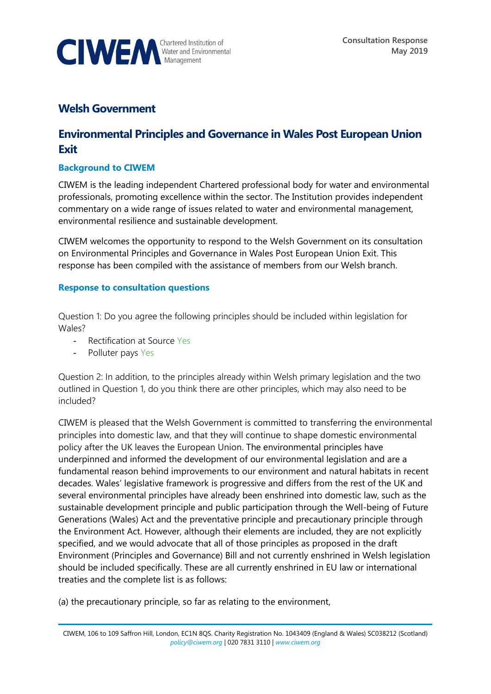

## **Welsh Government**

## **Environmental Principles and Governance in Wales Post European Union Exit**

## **Background to CIWEM**

CIWEM is the leading independent Chartered professional body for water and environmental professionals, promoting excellence within the sector. The Institution provides independent commentary on a wide range of issues related to water and environmental management, environmental resilience and sustainable development.

CIWEM welcomes the opportunity to respond to the Welsh Government on its consultation on Environmental Principles and Governance in Wales Post European Union Exit. This response has been compiled with the assistance of members from our Welsh branch.

## **Response to consultation questions**

Question 1: Do you agree the following principles should be included within legislation for Wales?

- Rectification at Source Yes
- Polluter pays Yes

Question 2: In addition, to the principles already within Welsh primary legislation and the two outlined in Question 1, do you think there are other principles, which may also need to be included?

CIWEM is pleased that the Welsh Government is committed to transferring the environmental principles into domestic law, and that they will continue to shape domestic environmental policy after the UK leaves the European Union. The environmental principles have underpinned and informed the development of our environmental legislation and are a fundamental reason behind improvements to our environment and natural habitats in recent decades. Wales' legislative framework is progressive and differs from the rest of the UK and several environmental principles have already been enshrined into domestic law, such as the sustainable development principle and public participation through the Well-being of Future Generations (Wales) Act and the preventative principle and precautionary principle through the Environment Act. However, although their elements are included, they are not explicitly specified, and we would advocate that all of those principles as proposed in the draft Environment (Principles and Governance) Bill and not currently enshrined in Welsh legislation should be included specifically. These are all currently enshrined in EU law or international treaties and the complete list is as follows:

(a) the precautionary principle, so far as relating to the environment,

CIWEM, 106 to 109 Saffron Hill, London, EC1N 8QS. Charity Registration No. 1043409 (England & Wales) SC038212 (Scotland) *[policy@ciwem.org](mailto:policy@ciwem.org)* | 020 7831 3110 | *[www.ciwem.org](http://www.ciwem.org/)*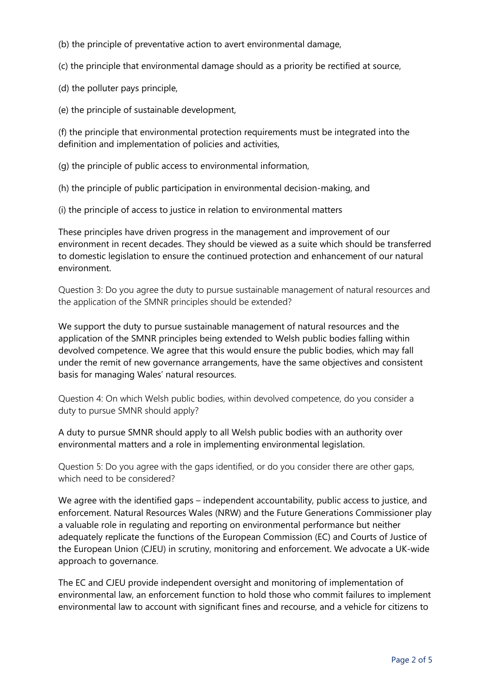(b) the principle of preventative action to avert environmental damage,

(c) the principle that environmental damage should as a priority be rectified at source,

(d) the polluter pays principle,

(e) the principle of sustainable development,

(f) the principle that environmental protection requirements must be integrated into the definition and implementation of policies and activities,

(g) the principle of public access to environmental information,

(h) the principle of public participation in environmental decision-making, and

(i) the principle of access to justice in relation to environmental matters

These principles have driven progress in the management and improvement of our environment in recent decades. They should be viewed as a suite which should be transferred to domestic legislation to ensure the continued protection and enhancement of our natural environment.

Question 3: Do you agree the duty to pursue sustainable management of natural resources and the application of the SMNR principles should be extended?

We support the duty to pursue sustainable management of natural resources and the application of the SMNR principles being extended to Welsh public bodies falling within devolved competence. We agree that this would ensure the public bodies, which may fall under the remit of new governance arrangements, have the same objectives and consistent basis for managing Wales' natural resources.

Question 4: On which Welsh public bodies, within devolved competence, do you consider a duty to pursue SMNR should apply?

A duty to pursue SMNR should apply to all Welsh public bodies with an authority over environmental matters and a role in implementing environmental legislation.

Question 5: Do you agree with the gaps identified, or do you consider there are other gaps, which need to be considered?

We agree with the identified gaps – independent accountability, public access to justice, and enforcement. Natural Resources Wales (NRW) and the Future Generations Commissioner play a valuable role in regulating and reporting on environmental performance but neither adequately replicate the functions of the European Commission (EC) and Courts of Justice of the European Union (CJEU) in scrutiny, monitoring and enforcement. We advocate a UK-wide approach to governance.

The EC and CJEU provide independent oversight and monitoring of implementation of environmental law, an enforcement function to hold those who commit failures to implement environmental law to account with significant fines and recourse, and a vehicle for citizens to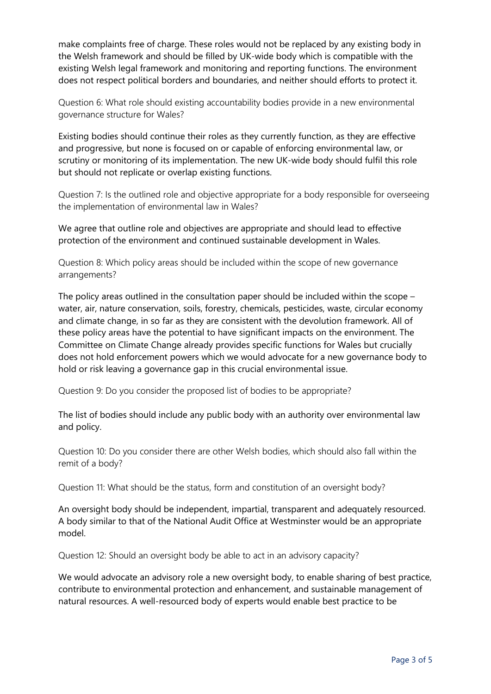make complaints free of charge. These roles would not be replaced by any existing body in the Welsh framework and should be filled by UK-wide body which is compatible with the existing Welsh legal framework and monitoring and reporting functions. The environment does not respect political borders and boundaries, and neither should efforts to protect it.

Question 6: What role should existing accountability bodies provide in a new environmental governance structure for Wales?

Existing bodies should continue their roles as they currently function, as they are effective and progressive, but none is focused on or capable of enforcing environmental law, or scrutiny or monitoring of its implementation. The new UK-wide body should fulfil this role but should not replicate or overlap existing functions.

Question 7: Is the outlined role and objective appropriate for a body responsible for overseeing the implementation of environmental law in Wales?

We agree that outline role and objectives are appropriate and should lead to effective protection of the environment and continued sustainable development in Wales.

Question 8: Which policy areas should be included within the scope of new governance arrangements?

The policy areas outlined in the consultation paper should be included within the scope – water, air, nature conservation, soils, forestry, chemicals, pesticides, waste, circular economy and climate change, in so far as they are consistent with the devolution framework. All of these policy areas have the potential to have significant impacts on the environment. The Committee on Climate Change already provides specific functions for Wales but crucially does not hold enforcement powers which we would advocate for a new governance body to hold or risk leaving a governance gap in this crucial environmental issue.

Question 9: Do you consider the proposed list of bodies to be appropriate?

The list of bodies should include any public body with an authority over environmental law and policy.

Question 10: Do you consider there are other Welsh bodies, which should also fall within the remit of a body?

Question 11: What should be the status, form and constitution of an oversight body?

An oversight body should be independent, impartial, transparent and adequately resourced. A body similar to that of the National Audit Office at Westminster would be an appropriate model.

Question 12: Should an oversight body be able to act in an advisory capacity?

We would advocate an advisory role a new oversight body, to enable sharing of best practice, contribute to environmental protection and enhancement, and sustainable management of natural resources. A well-resourced body of experts would enable best practice to be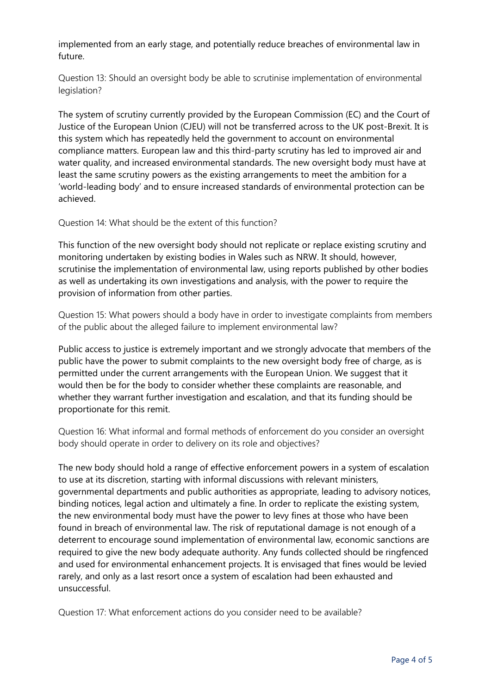implemented from an early stage, and potentially reduce breaches of environmental law in future.

Question 13: Should an oversight body be able to scrutinise implementation of environmental legislation?

The system of scrutiny currently provided by the European Commission (EC) and the Court of Justice of the European Union (CJEU) will not be transferred across to the UK post-Brexit. It is this system which has repeatedly held the government to account on environmental compliance matters. European law and this third-party scrutiny has led to improved air and water quality, and increased environmental standards. The new oversight body must have at least the same scrutiny powers as the existing arrangements to meet the ambition for a 'world-leading body' and to ensure increased standards of environmental protection can be achieved.

Question 14: What should be the extent of this function?

This function of the new oversight body should not replicate or replace existing scrutiny and monitoring undertaken by existing bodies in Wales such as NRW. It should, however, scrutinise the implementation of environmental law, using reports published by other bodies as well as undertaking its own investigations and analysis, with the power to require the provision of information from other parties.

Question 15: What powers should a body have in order to investigate complaints from members of the public about the alleged failure to implement environmental law?

Public access to justice is extremely important and we strongly advocate that members of the public have the power to submit complaints to the new oversight body free of charge, as is permitted under the current arrangements with the European Union. We suggest that it would then be for the body to consider whether these complaints are reasonable, and whether they warrant further investigation and escalation, and that its funding should be proportionate for this remit.

Question 16: What informal and formal methods of enforcement do you consider an oversight body should operate in order to delivery on its role and objectives?

The new body should hold a range of effective enforcement powers in a system of escalation to use at its discretion, starting with informal discussions with relevant ministers, governmental departments and public authorities as appropriate, leading to advisory notices, binding notices, legal action and ultimately a fine. In order to replicate the existing system, the new environmental body must have the power to levy fines at those who have been found in breach of environmental law. The risk of reputational damage is not enough of a deterrent to encourage sound implementation of environmental law, economic sanctions are required to give the new body adequate authority. Any funds collected should be ringfenced and used for environmental enhancement projects. It is envisaged that fines would be levied rarely, and only as a last resort once a system of escalation had been exhausted and unsuccessful.

Question 17: What enforcement actions do you consider need to be available?